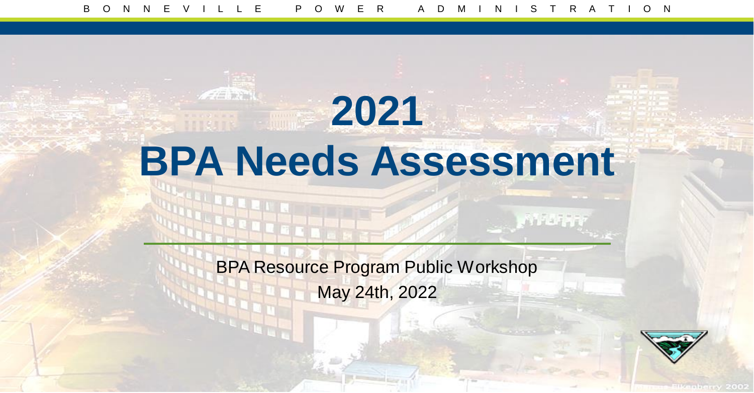# **2021 BPA Needs Assessment**

BPA Resource Program Public Workshop May 24th, 2022

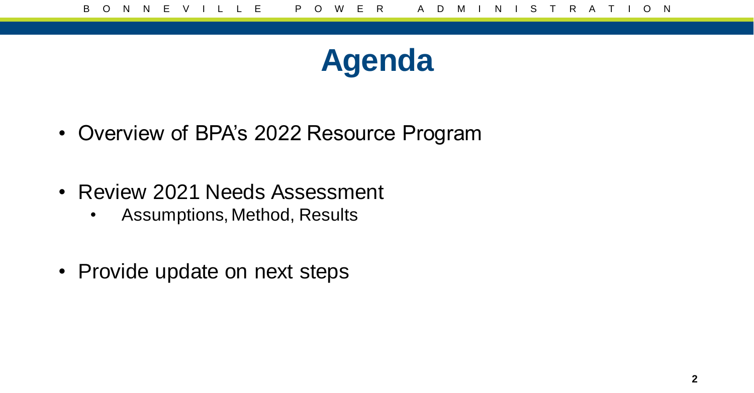

- Overview of BPA's 2022 Resource Program
- Review 2021 Needs Assessment
	- Assumptions, Method, Results
- Provide update on next steps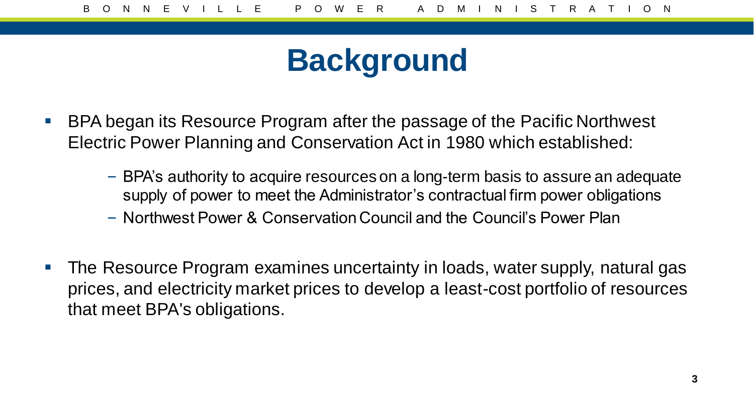#### **Background**

- BPA began its Resource Program after the passage of the Pacific Northwest Electric Power Planning and Conservation Act in 1980 which established:
	- BPA's authority to acquire resources on a long-term basis to assure an adequate supply of power to meet the Administrator's contractual firm power obligations
	- Northwest Power & Conservation Council and the Council's Power Plan
- **The Resource Program examines uncertainty in loads, water supply, natural gas** prices, and electricity market prices to develop a least-cost portfolio of resources that meet BPA's obligations.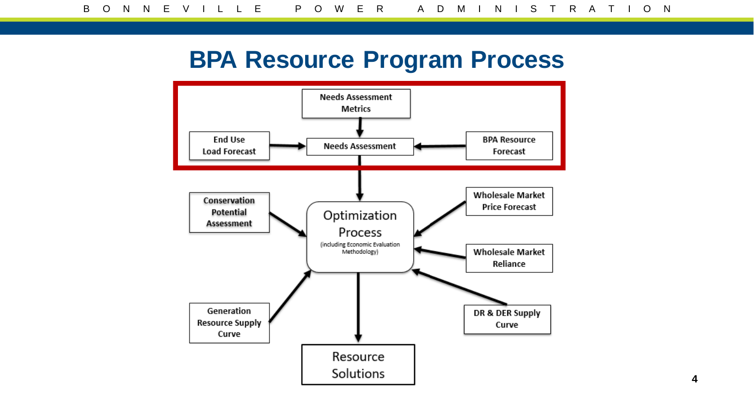#### **BPA Resource Program Process**

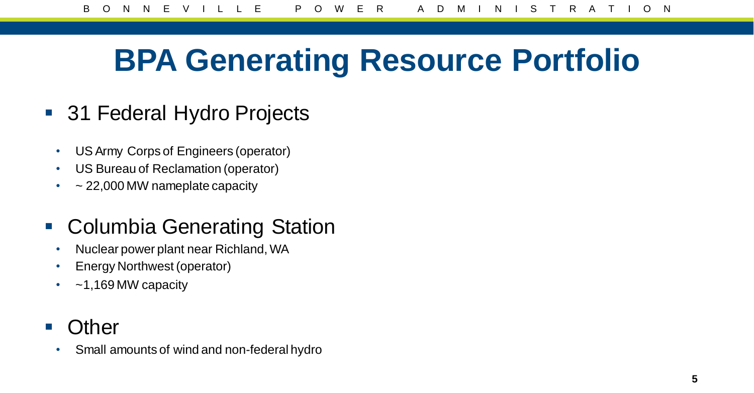## **BPA Generating Resource Portfolio**

- 31 Federal Hydro Projects
	- US Army Corps of Engineers (operator)
	- US Bureau of Reclamation (operator)
	- $\cdot$  ~ 22,000 MW nameplate capacity

#### ■ Columbia Generating Station

- Nuclear power plant near Richland, WA
- Energy Northwest (operator)
- $\sim$  1,169 MW capacity
- **Other** 
	- Small amounts of wind and non-federal hydro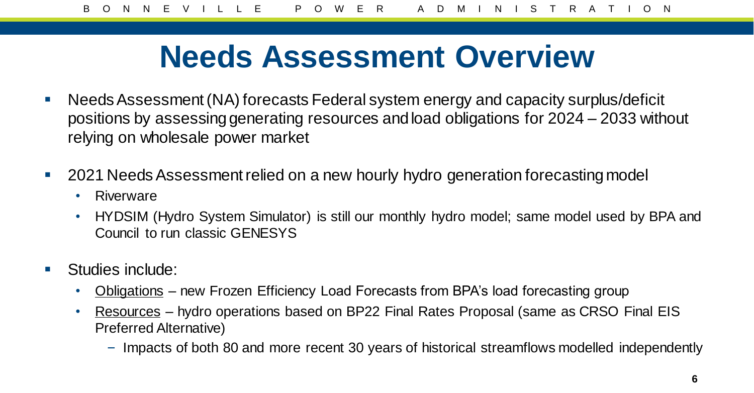#### **Needs Assessment Overview**

- Needs Assessment (NA) forecasts Federal system energy and capacity surplus/deficit positions by assessing generating resources and load obligations for 2024 – 2033 without relying on wholesale power market
- 2021 Needs Assessment relied on a new hourly hydro generation forecasting model
	- Riverware
	- HYDSIM (Hydro System Simulator) is still our monthly hydro model; same model used by BPA and Council to run classic GENESYS
- **Studies include:** 
	- Obligations new Frozen Efficiency Load Forecasts from BPA's load forecasting group
	- Resources hydro operations based on BP22 Final Rates Proposal (same as CRSO Final EIS Preferred Alternative)
		- Impacts of both 80 and more recent 30 years of historical streamflows modelled independently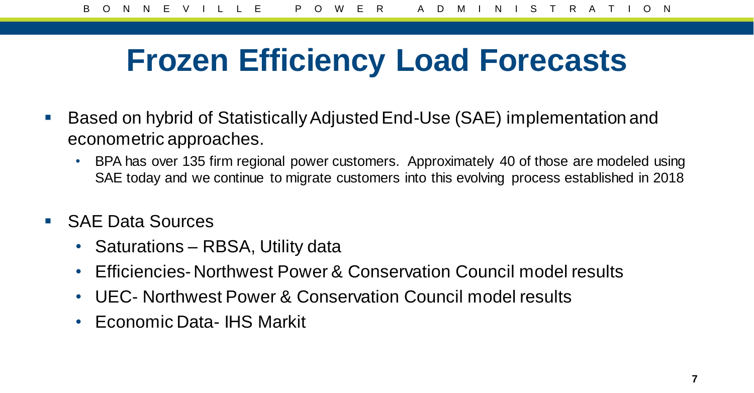## **Frozen Efficiency Load Forecasts**

- Based on hybrid of Statistically Adjusted End-Use (SAE) implementation and econometric approaches.
	- BPA has over 135 firm regional power customers. Approximately 40 of those are modeled using SAE today and we continue to migrate customers into this evolving process established in 2018
- SAE Data Sources
	- Saturations RBSA, Utility data
	- Efficiencies- Northwest Power & Conservation Council model results
	- UEC- Northwest Power & Conservation Council model results
	- Economic Data- IHS Markit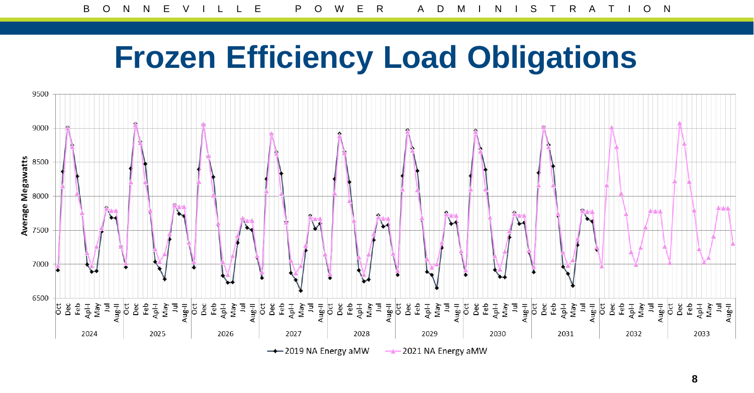### **Frozen Efficiency Load Obligations**



**8**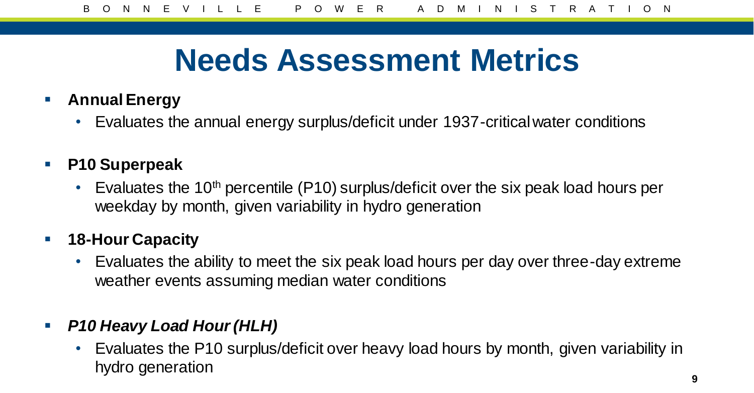## **Needs Assessment Metrics**

- **Annual Energy**
	- Evaluates the annual energy surplus/deficit under 1937-critical water conditions
- **P10 Superpeak**
	- Evaluates the 10<sup>th</sup> percentile (P10) surplus/deficit over the six peak load hours per weekday by month, given variability in hydro generation

#### **18-Hour Capacity**

• Evaluates the ability to meet the six peak load hours per day over three-day extreme weather events assuming median water conditions

#### *P10 Heavy Load Hour (HLH)*

• Evaluates the P10 surplus/deficit over heavy load hours by month, given variability in hydro generation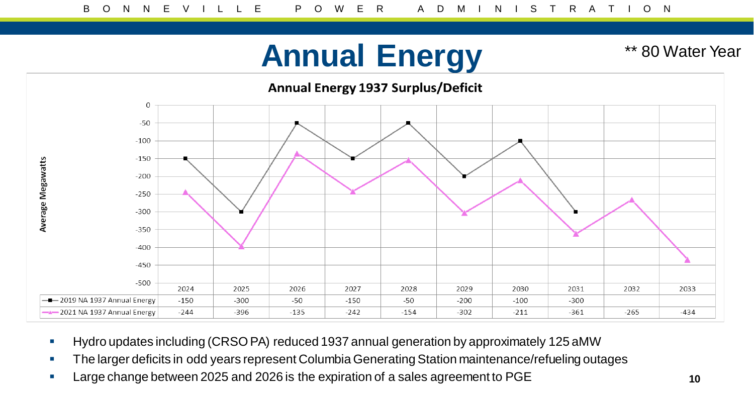#### **Annual Energy**

\*\* 80 Water Year



- Hydro updates including (CRSO PA) reduced 1937 annual generation by approximately 125 aMW
- **The larger deficits in odd years represent Columbia Generating Station maintenance/refueling outages**
- Large change between 2025 and 2026 is the expiration of a sales agreement to PGE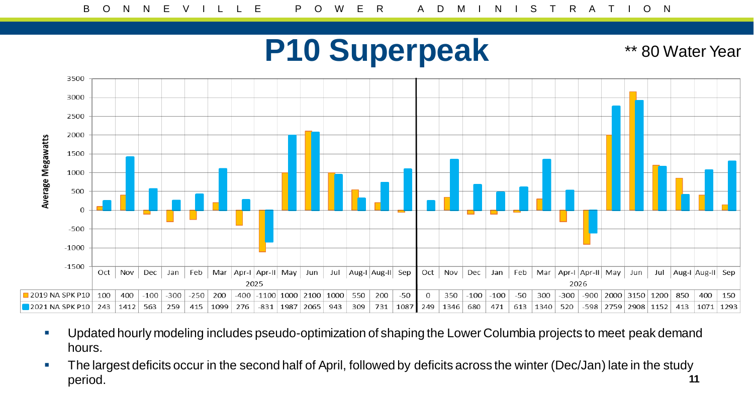#### **P10 Superpeak**

\*\* 80 Water Year



- Updated hourly modeling includes pseudo-optimization of shaping the Lower Columbia projects to meet peak demand hours.
- The largest deficits occur in the second half of April, followed by deficits across the winter (Dec/Jan) late in the study period. **11**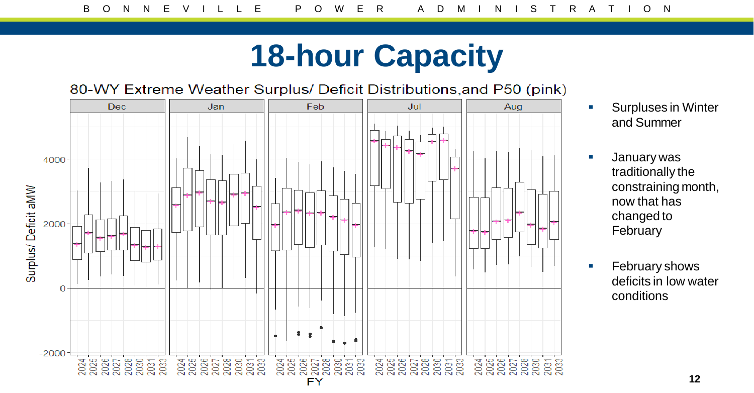## **18-hour Capacity**

80-WY Extreme Weather Surplus/ Deficit Distributions, and P50 (pink)



- **Surpluses in Winter** and Summer
- **January was** traditionally the constraining month, now that has changed to February
- **February shows** deficits in low water conditions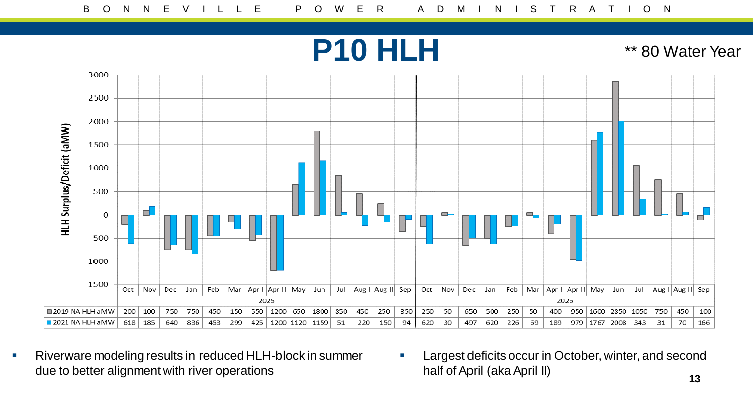**P10 HLH** 

\*\* 80 Water Year



- Riverware modeling results in reduced HLH-block in summer due to better alignment with river operations
- **Largest deficits occur in October, winter, and second** half of April (aka April II)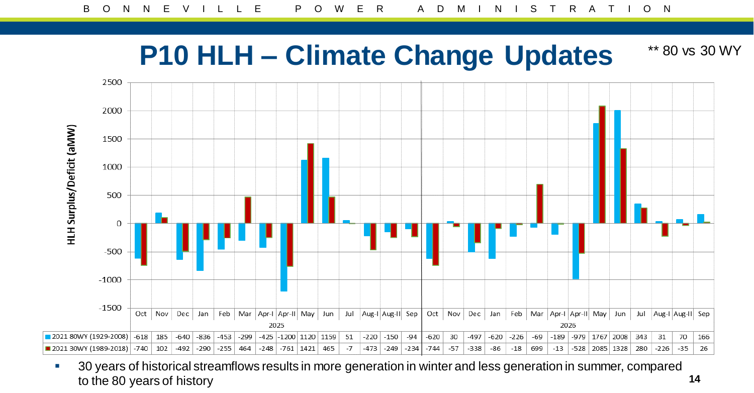#### **P10 HLH – Climate Change Updates** \*\* 80 vs 30 WY



<sup>1</sup> 30 years of historical streamflows results in more generation in winter and less generation in summer, compared to the 80 years of history